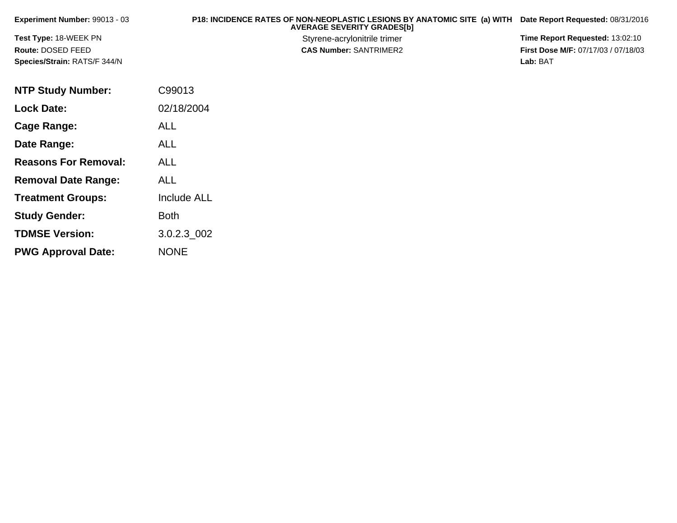| <b>Experiment Number: 99013 - 03</b> | P18: INCIDENCE RATES OF NON-NEOPLASTIC LESIONS BY ANATOMIC SITE (a) WITH<br><b>AVERAGE SEVERITY GRADES[b]</b> | Date Report Requested: 08/31/2016          |
|--------------------------------------|---------------------------------------------------------------------------------------------------------------|--------------------------------------------|
| <b>Test Type: 18-WEEK PN</b>         | Styrene-acrylonitrile trimer                                                                                  | <b>Time Report Requested: 13:02:10</b>     |
| Route: DOSED FEED                    | <b>CAS Number: SANTRIMER2</b>                                                                                 | <b>First Dose M/F: 07/17/03 / 07/18/03</b> |
| <b>Species/Strain: RATS/F 344/N</b>  |                                                                                                               | Lab: BAT                                   |

| <b>NTP Study Number:</b>    | C99013             |
|-----------------------------|--------------------|
| <b>Lock Date:</b>           | 02/18/2004         |
| Cage Range:                 | ALL                |
| Date Range:                 | ALL                |
| <b>Reasons For Removal:</b> | ALL.               |
| <b>Removal Date Range:</b>  | ALL                |
| <b>Treatment Groups:</b>    | <b>Include ALL</b> |
| <b>Study Gender:</b>        | <b>Both</b>        |
| <b>TDMSE Version:</b>       | 3.0.2.3 002        |
| <b>PWG Approval Date:</b>   | <b>NONE</b>        |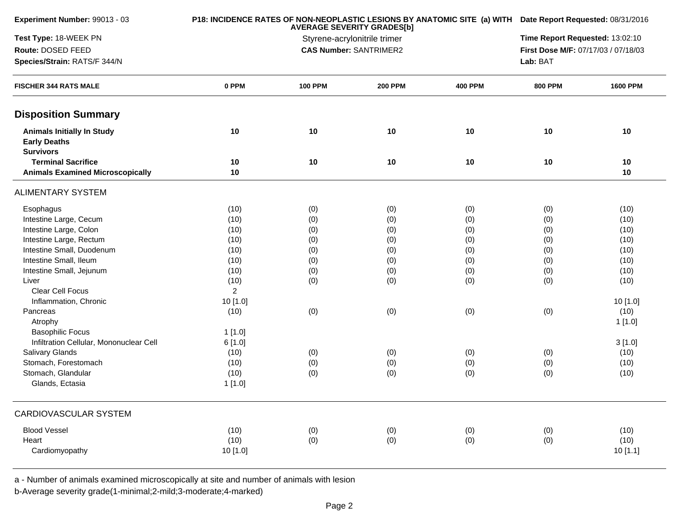| Experiment Number: 99013 - 03                                                |                | P18: INCIDENCE RATES OF NON-NEOPLASTIC LESIONS BY ANATOMIC SITE (a) WITH Date Report Requested: 08/31/2016 |                |                                     |                |                 |  |
|------------------------------------------------------------------------------|----------------|------------------------------------------------------------------------------------------------------------|----------------|-------------------------------------|----------------|-----------------|--|
| Test Type: 18-WEEK PN                                                        |                | Styrene-acrylonitrile trimer                                                                               |                | Time Report Requested: 13:02:10     |                |                 |  |
| Route: DOSED FEED                                                            |                | <b>CAS Number: SANTRIMER2</b>                                                                              |                | First Dose M/F: 07/17/03 / 07/18/03 |                |                 |  |
| Species/Strain: RATS/F 344/N                                                 |                |                                                                                                            |                |                                     |                |                 |  |
| <b>FISCHER 344 RATS MALE</b>                                                 | 0 PPM          | <b>100 PPM</b>                                                                                             | <b>200 PPM</b> | <b>400 PPM</b>                      | <b>800 PPM</b> | <b>1600 PPM</b> |  |
| <b>Disposition Summary</b>                                                   |                |                                                                                                            |                |                                     |                |                 |  |
| <b>Animals Initially In Study</b><br><b>Early Deaths</b><br><b>Survivors</b> | 10             | 10                                                                                                         | 10             | 10                                  | 10             | 10              |  |
| <b>Terminal Sacrifice</b><br><b>Animals Examined Microscopically</b>         | 10<br>10       | 10                                                                                                         | 10             | 10                                  | 10             | 10<br>10        |  |
| <b>ALIMENTARY SYSTEM</b>                                                     |                |                                                                                                            |                |                                     |                |                 |  |
| Esophagus                                                                    | (10)           | (0)                                                                                                        | (0)            | (0)                                 | (0)            | (10)            |  |
| Intestine Large, Cecum                                                       | (10)           | (0)                                                                                                        | (0)            | (0)                                 | (0)            | (10)            |  |
| Intestine Large, Colon                                                       | (10)           | (0)                                                                                                        | (0)            | (0)                                 | (0)            | (10)            |  |
| Intestine Large, Rectum                                                      | (10)           | (0)                                                                                                        | (0)            | (0)                                 | (0)            | (10)            |  |
| Intestine Small, Duodenum                                                    | (10)           | (0)                                                                                                        | (0)            | (0)                                 | (0)            | (10)            |  |
| Intestine Small, Ileum                                                       | (10)           | (0)                                                                                                        | (0)            | (0)                                 | (0)            | (10)            |  |
| Intestine Small, Jejunum                                                     | (10)           | (0)                                                                                                        | (0)            | (0)                                 | (0)            | (10)            |  |
| Liver                                                                        | (10)           | (0)                                                                                                        | (0)            | (0)                                 | (0)            | (10)            |  |
| Clear Cell Focus                                                             | $\overline{2}$ |                                                                                                            |                |                                     |                |                 |  |
| Inflammation, Chronic                                                        | 10 [1.0]       |                                                                                                            |                |                                     |                | 10 [1.0]        |  |
| Pancreas                                                                     | (10)           | (0)                                                                                                        | (0)            | (0)                                 | (0)            | (10)            |  |
| Atrophy                                                                      |                |                                                                                                            |                |                                     |                | 1[1.0]          |  |
| <b>Basophilic Focus</b>                                                      | 1[1.0]         |                                                                                                            |                |                                     |                |                 |  |
| Infiltration Cellular, Mononuclear Cell                                      | 6[1.0]         |                                                                                                            |                |                                     |                | 3[1.0]          |  |
| <b>Salivary Glands</b>                                                       | (10)           | (0)                                                                                                        | (0)            | (0)                                 | (0)            | (10)            |  |
| Stomach, Forestomach                                                         | (10)           | (0)                                                                                                        | (0)            | (0)                                 | (0)            | (10)            |  |
| Stomach, Glandular                                                           | (10)           | (0)                                                                                                        | (0)            | (0)                                 | (0)            | (10)            |  |
| Glands, Ectasia                                                              | 1[1.0]         |                                                                                                            |                |                                     |                |                 |  |
| CARDIOVASCULAR SYSTEM                                                        |                |                                                                                                            |                |                                     |                |                 |  |
| <b>Blood Vessel</b>                                                          | (10)           | (0)                                                                                                        | (0)            | (0)                                 | (0)            | (10)            |  |
| Heart                                                                        | (10)           | (0)                                                                                                        | (0)            | (0)                                 | (0)            | (10)            |  |
| Cardiomyopathy                                                               | 10 [1.0]       |                                                                                                            |                |                                     |                | 10 [1.1]        |  |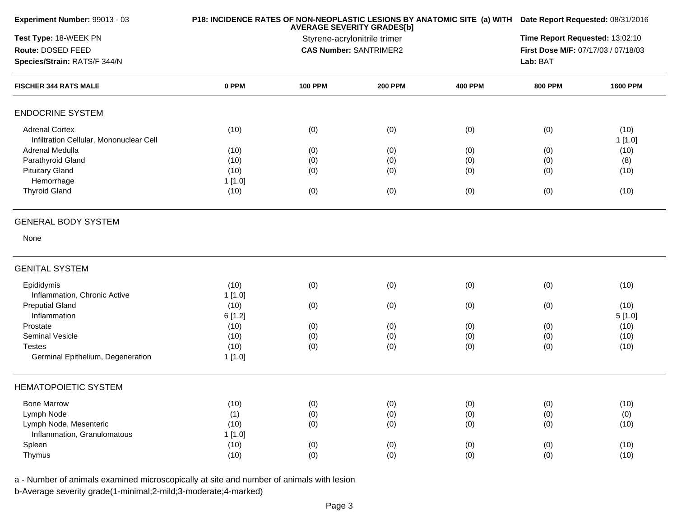| Experiment Number: 99013 - 03                                    |        | P18: INCIDENCE RATES OF NON-NEOPLASTIC LESIONS BY ANATOMIC SITE (a) WITH Date Report Requested: 08/31/2016<br><b>AVERAGE SEVERITY GRADES[b]</b><br>Styrene-acrylonitrile trimer |                |                                     |                |                 |
|------------------------------------------------------------------|--------|---------------------------------------------------------------------------------------------------------------------------------------------------------------------------------|----------------|-------------------------------------|----------------|-----------------|
| Test Type: 18-WEEK PN                                            |        |                                                                                                                                                                                 |                |                                     |                |                 |
| Route: DOSED FEED                                                |        | <b>CAS Number: SANTRIMER2</b>                                                                                                                                                   |                | First Dose M/F: 07/17/03 / 07/18/03 |                |                 |
| Species/Strain: RATS/F 344/N                                     |        |                                                                                                                                                                                 |                |                                     | Lab: BAT       |                 |
| <b>FISCHER 344 RATS MALE</b>                                     | 0 PPM  | <b>100 PPM</b>                                                                                                                                                                  | <b>200 PPM</b> | <b>400 PPM</b>                      | <b>800 PPM</b> | <b>1600 PPM</b> |
| <b>ENDOCRINE SYSTEM</b>                                          |        |                                                                                                                                                                                 |                |                                     |                |                 |
| <b>Adrenal Cortex</b><br>Infiltration Cellular, Mononuclear Cell | (10)   | (0)                                                                                                                                                                             | (0)            | (0)                                 | (0)            | (10)<br>1[1.0]  |
| Adrenal Medulla                                                  | (10)   | (0)                                                                                                                                                                             | (0)            | (0)                                 | (0)            | (10)            |
| Parathyroid Gland                                                | (10)   | (0)                                                                                                                                                                             | (0)            | (0)                                 | (0)            | (8)             |
| <b>Pituitary Gland</b>                                           | (10)   | (0)                                                                                                                                                                             | (0)            | (0)                                 | (0)            | (10)            |
| Hemorrhage                                                       | 1[1.0] |                                                                                                                                                                                 |                |                                     |                |                 |
| <b>Thyroid Gland</b>                                             | (10)   | (0)                                                                                                                                                                             | (0)            | (0)                                 | (0)            | (10)            |
| <b>GENERAL BODY SYSTEM</b>                                       |        |                                                                                                                                                                                 |                |                                     |                |                 |
| None                                                             |        |                                                                                                                                                                                 |                |                                     |                |                 |
| <b>GENITAL SYSTEM</b>                                            |        |                                                                                                                                                                                 |                |                                     |                |                 |
| Epididymis                                                       | (10)   | (0)                                                                                                                                                                             | (0)            | (0)                                 | (0)            | (10)            |
| Inflammation, Chronic Active                                     | 1[1.0] |                                                                                                                                                                                 |                |                                     |                |                 |
| <b>Preputial Gland</b>                                           | (10)   | (0)                                                                                                                                                                             | (0)            | (0)                                 | (0)            | (10)            |
| Inflammation                                                     | 6[1.2] |                                                                                                                                                                                 |                |                                     |                | 5[1.0]          |
| Prostate                                                         | (10)   | (0)                                                                                                                                                                             | (0)            | (0)                                 | (0)            | (10)            |
| <b>Seminal Vesicle</b>                                           | (10)   | (0)                                                                                                                                                                             | (0)            | (0)                                 | (0)            | (10)            |
| <b>Testes</b>                                                    | (10)   | (0)                                                                                                                                                                             | (0)            | (0)                                 | (0)            | (10)            |
| Germinal Epithelium, Degeneration                                | 1[1.0] |                                                                                                                                                                                 |                |                                     |                |                 |
| <b>HEMATOPOIETIC SYSTEM</b>                                      |        |                                                                                                                                                                                 |                |                                     |                |                 |
| <b>Bone Marrow</b>                                               | (10)   | (0)                                                                                                                                                                             | (0)            | (0)                                 | (0)            | (10)            |
| Lymph Node                                                       | (1)    | (0)                                                                                                                                                                             | (0)            | (0)                                 | (0)            | (0)             |
| Lymph Node, Mesenteric                                           | (10)   | (0)                                                                                                                                                                             | (0)            | (0)                                 | (0)            | (10)            |
| Inflammation, Granulomatous                                      | 1[1.0] |                                                                                                                                                                                 |                |                                     |                |                 |
| Spleen                                                           | (10)   | (0)                                                                                                                                                                             | (0)            | (0)                                 | (0)            | (10)            |
| Thymus                                                           | (10)   | (0)                                                                                                                                                                             | (0)            | (0)                                 | (0)            | (10)            |
|                                                                  |        |                                                                                                                                                                                 |                |                                     |                |                 |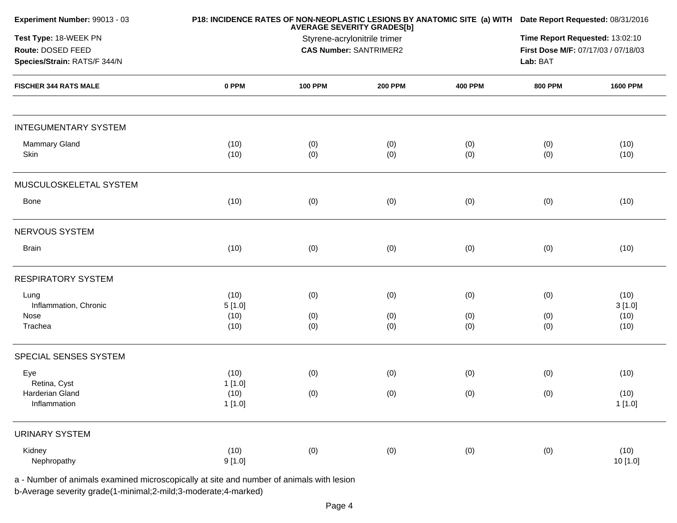| Experiment Number: 99013 - 03                                                            |                | P18: INCIDENCE RATES OF NON-NEOPLASTIC LESIONS BY ANATOMIC SITE (a) WITH Date Report Requested: 08/31/2016<br><b>AVERAGE SEVERITY GRADES[b]</b> |                |                                     |                |                |  |
|------------------------------------------------------------------------------------------|----------------|-------------------------------------------------------------------------------------------------------------------------------------------------|----------------|-------------------------------------|----------------|----------------|--|
| Test Type: 18-WEEK PN                                                                    |                | Styrene-acrylonitrile trimer                                                                                                                    |                |                                     |                |                |  |
| Route: DOSED FEED                                                                        |                | <b>CAS Number: SANTRIMER2</b>                                                                                                                   |                | First Dose M/F: 07/17/03 / 07/18/03 |                |                |  |
| Species/Strain: RATS/F 344/N                                                             |                |                                                                                                                                                 |                |                                     | Lab: BAT       |                |  |
| <b>FISCHER 344 RATS MALE</b>                                                             | 0 PPM          | <b>100 PPM</b>                                                                                                                                  | <b>200 PPM</b> | <b>400 PPM</b>                      | <b>800 PPM</b> | 1600 PPM       |  |
| <b>INTEGUMENTARY SYSTEM</b>                                                              |                |                                                                                                                                                 |                |                                     |                |                |  |
| Mammary Gland<br>Skin                                                                    | (10)<br>(10)   | (0)<br>(0)                                                                                                                                      | (0)<br>(0)     | (0)<br>(0)                          | (0)<br>(0)     | (10)<br>(10)   |  |
| MUSCULOSKELETAL SYSTEM                                                                   |                |                                                                                                                                                 |                |                                     |                |                |  |
| Bone                                                                                     | (10)           | (0)                                                                                                                                             | (0)            | (0)                                 | (0)            | (10)           |  |
| NERVOUS SYSTEM                                                                           |                |                                                                                                                                                 |                |                                     |                |                |  |
| <b>Brain</b>                                                                             | (10)           | (0)                                                                                                                                             | (0)            | (0)                                 | (0)            | (10)           |  |
| <b>RESPIRATORY SYSTEM</b>                                                                |                |                                                                                                                                                 |                |                                     |                |                |  |
| Lung<br>Inflammation, Chronic                                                            | (10)<br>5[1.0] | (0)                                                                                                                                             | (0)            | (0)                                 | (0)            | (10)<br>3[1.0] |  |
| Nose                                                                                     | (10)           | (0)                                                                                                                                             | (0)            | (0)                                 | (0)            | (10)           |  |
| Trachea                                                                                  | (10)           | (0)                                                                                                                                             | (0)            | (0)                                 | (0)            | (10)           |  |
| SPECIAL SENSES SYSTEM                                                                    |                |                                                                                                                                                 |                |                                     |                |                |  |
| Eye                                                                                      | (10)           | (0)                                                                                                                                             | (0)            | (0)                                 | (0)            | (10)           |  |
| Retina, Cyst                                                                             | 1[1.0]         |                                                                                                                                                 |                |                                     |                |                |  |
| Harderian Gland<br>Inflammation                                                          | (10)<br>1[1.0] | (0)                                                                                                                                             | (0)            | (0)                                 | (0)            | (10)<br>1[1.0] |  |
| <b>URINARY SYSTEM</b>                                                                    |                |                                                                                                                                                 |                |                                     |                |                |  |
| Kidney                                                                                   | (10)           | (0)                                                                                                                                             | (0)            | (0)                                 | (0)            | (10)           |  |
| Nephropathy                                                                              | 9[1.0]         |                                                                                                                                                 |                |                                     |                | 10 [1.0]       |  |
| a - Number of animals examined microscopically at site and number of animals with lesion |                |                                                                                                                                                 |                |                                     |                |                |  |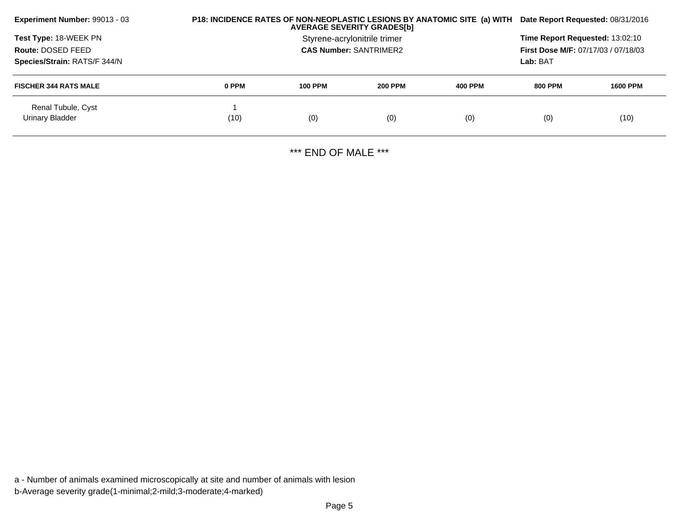| P18: INCIDENCE RATES OF NON-NEOPLASTIC LESIONS BY ANATOMIC SITE (a) WITH<br>Experiment Number: 99013 - 03<br><b>AVERAGE SEVERITY GRADES[b]</b> |       |                                                        |                |                | Date Report Requested: 08/31/2016 |                 |  |
|------------------------------------------------------------------------------------------------------------------------------------------------|-------|--------------------------------------------------------|----------------|----------------|-----------------------------------|-----------------|--|
| Test Type: 18-WEEK PN<br>Route: DOSED FEED                                                                                                     |       | <b>Time Report Requested: 13:02:10</b>                 |                |                |                                   |                 |  |
| Species/Strain: RATS/F 344/N                                                                                                                   |       | <b>First Dose M/F: 07/17/03 / 07/18/03</b><br>Lab: BAT |                |                |                                   |                 |  |
| <b>FISCHER 344 RATS MALE</b>                                                                                                                   | 0 PPM | <b>100 PPM</b>                                         | <b>200 PPM</b> | <b>400 PPM</b> | <b>800 PPM</b>                    | <b>1600 PPM</b> |  |
| Renal Tubule, Cyst<br>Urinary Bladder                                                                                                          | (10)  | (0)                                                    | (0)            | (0)            | (0)                               | (10)            |  |

\*\*\* END OF MALE \*\*\*

a - Number of animals examined microscopically at site and number of animals with lesionb-Average severity grade(1-minimal;2-mild;3-moderate;4-marked)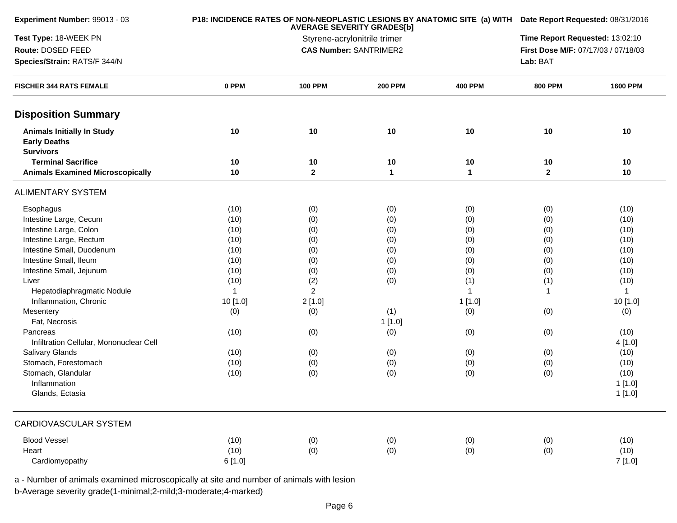| Experiment Number: 99013 - 03                                                |              | P18: INCIDENCE RATES OF NON-NEOPLASTIC LESIONS BY ANATOMIC SITE (a) WITH Date Report Requested: 08/31/2016 |                   |                                                                        |                   |                 |
|------------------------------------------------------------------------------|--------------|------------------------------------------------------------------------------------------------------------|-------------------|------------------------------------------------------------------------|-------------------|-----------------|
| Test Type: 18-WEEK PN                                                        |              | <b>AVERAGE SEVERITY GRADES[b]</b><br>Styrene-acrylonitrile trimer                                          |                   | Time Report Requested: 13:02:10<br>First Dose M/F: 07/17/03 / 07/18/03 |                   |                 |
| Route: DOSED FEED                                                            |              | <b>CAS Number: SANTRIMER2</b>                                                                              |                   |                                                                        |                   |                 |
| Species/Strain: RATS/F 344/N                                                 |              |                                                                                                            |                   |                                                                        |                   |                 |
| <b>FISCHER 344 RATS FEMALE</b>                                               | 0 PPM        | <b>100 PPM</b>                                                                                             | <b>200 PPM</b>    | <b>400 PPM</b>                                                         | <b>800 PPM</b>    | <b>1600 PPM</b> |
| <b>Disposition Summary</b>                                                   |              |                                                                                                            |                   |                                                                        |                   |                 |
| <b>Animals Initially In Study</b><br><b>Early Deaths</b><br><b>Survivors</b> | 10           | 10                                                                                                         | 10                | 10                                                                     | 10                | 10              |
| <b>Terminal Sacrifice</b><br><b>Animals Examined Microscopically</b>         | 10<br>10     | 10<br>$\mathbf 2$                                                                                          | 10<br>$\mathbf 1$ | 10<br>$\mathbf{1}$                                                     | 10<br>$\mathbf 2$ | 10<br>10        |
|                                                                              |              |                                                                                                            |                   |                                                                        |                   |                 |
| <b>ALIMENTARY SYSTEM</b>                                                     |              |                                                                                                            |                   |                                                                        |                   |                 |
| Esophagus                                                                    | (10)         | (0)                                                                                                        | (0)               | (0)                                                                    | (0)               | (10)            |
| Intestine Large, Cecum                                                       | (10)         | (0)                                                                                                        | (0)               | (0)                                                                    | (0)               | (10)            |
| Intestine Large, Colon                                                       | (10)         | (0)                                                                                                        | (0)               | (0)                                                                    | (0)               | (10)            |
| Intestine Large, Rectum                                                      | (10)         | (0)                                                                                                        | (0)               | (0)                                                                    | (0)               | (10)            |
| Intestine Small, Duodenum                                                    | (10)         | (0)                                                                                                        | (0)               | (0)                                                                    | (0)               | (10)            |
| Intestine Small, Ileum                                                       | (10)         | (0)                                                                                                        | (0)               | (0)                                                                    | (0)               | (10)            |
| Intestine Small, Jejunum                                                     | (10)         | (0)                                                                                                        | (0)               | (0)                                                                    | (0)               | (10)            |
| Liver                                                                        | (10)         | (2)                                                                                                        | (0)               | (1)                                                                    | (1)               | (10)            |
| Hepatodiaphragmatic Nodule                                                   | $\mathbf{1}$ | $\overline{2}$                                                                                             |                   | $\mathbf{1}$                                                           |                   | $\mathbf 1$     |
| Inflammation, Chronic                                                        | 10 [1.0]     | 2[1.0]                                                                                                     |                   | 1[1.0]                                                                 |                   | 10 [1.0]        |
| Mesentery                                                                    | (0)          | (0)                                                                                                        | (1)               | (0)                                                                    | (0)               | (0)             |
| Fat, Necrosis                                                                |              |                                                                                                            | 1[1.0]            |                                                                        |                   |                 |
| Pancreas                                                                     | (10)         | (0)                                                                                                        | (0)               | (0)                                                                    | (0)               | (10)            |
| Infiltration Cellular, Mononuclear Cell                                      |              |                                                                                                            |                   |                                                                        |                   | 4 [1.0]         |
| Salivary Glands                                                              | (10)         | (0)                                                                                                        | (0)               | (0)                                                                    | (0)               | (10)            |
| Stomach, Forestomach                                                         | (10)         | (0)                                                                                                        | (0)               | (0)                                                                    | (0)               | (10)            |
| Stomach, Glandular                                                           | (10)         | (0)                                                                                                        | (0)               | (0)                                                                    | (0)               | (10)            |
| Inflammation                                                                 |              |                                                                                                            |                   |                                                                        |                   | 1 [1.0]         |
| Glands, Ectasia                                                              |              |                                                                                                            |                   |                                                                        |                   | 1 [1.0]         |
| CARDIOVASCULAR SYSTEM                                                        |              |                                                                                                            |                   |                                                                        |                   |                 |
| <b>Blood Vessel</b>                                                          | (10)         | (0)                                                                                                        | (0)               | (0)                                                                    | (0)               | (10)            |
| Heart                                                                        | (10)         | (0)                                                                                                        | (0)               | (0)                                                                    | (0)               | (10)            |
| Cardiomyopathy                                                               | 6[1.0]       |                                                                                                            |                   |                                                                        |                   | 7[1.0]          |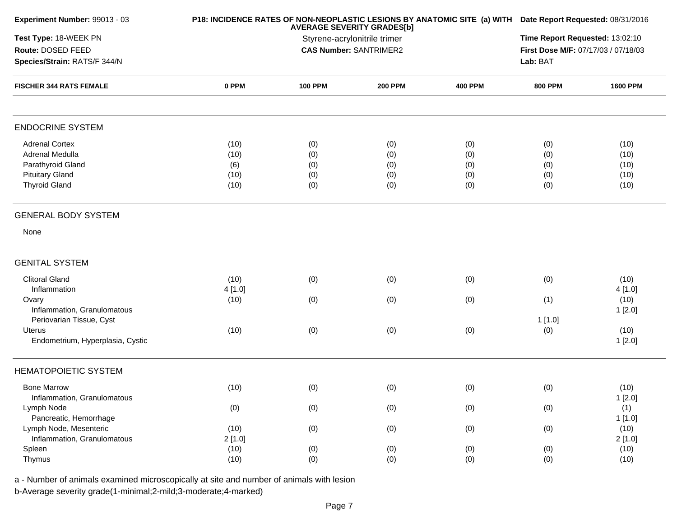|       | P18: INCIDENCE RATES OF NON-NEOPLASTIC LESIONS BY ANATOMIC SITE (a) WITH Date Report Requested: 08/31/2016 |                                                             |                                                                                                                                                                   |                                                             |                                                                                                              |
|-------|------------------------------------------------------------------------------------------------------------|-------------------------------------------------------------|-------------------------------------------------------------------------------------------------------------------------------------------------------------------|-------------------------------------------------------------|--------------------------------------------------------------------------------------------------------------|
|       |                                                                                                            |                                                             | Time Report Requested: 13:02:10                                                                                                                                   |                                                             |                                                                                                              |
|       |                                                                                                            |                                                             |                                                                                                                                                                   |                                                             |                                                                                                              |
|       |                                                                                                            |                                                             |                                                                                                                                                                   | Lab: BAT                                                    |                                                                                                              |
| 0 PPM | <b>100 PPM</b>                                                                                             | <b>200 PPM</b>                                              | <b>400 PPM</b>                                                                                                                                                    | <b>800 PPM</b>                                              | <b>1600 PPM</b>                                                                                              |
|       |                                                                                                            |                                                             |                                                                                                                                                                   |                                                             |                                                                                                              |
| (10)  |                                                                                                            |                                                             |                                                                                                                                                                   |                                                             | (10)                                                                                                         |
| (10)  |                                                                                                            |                                                             |                                                                                                                                                                   |                                                             | (10)                                                                                                         |
| (6)   | (0)                                                                                                        | (0)                                                         | (0)                                                                                                                                                               | (0)                                                         | (10)                                                                                                         |
|       |                                                                                                            |                                                             |                                                                                                                                                                   |                                                             | (10)                                                                                                         |
| (10)  | (0)                                                                                                        | (0)                                                         | (0)                                                                                                                                                               | (0)                                                         | (10)                                                                                                         |
|       |                                                                                                            |                                                             |                                                                                                                                                                   |                                                             |                                                                                                              |
|       |                                                                                                            |                                                             |                                                                                                                                                                   |                                                             |                                                                                                              |
|       |                                                                                                            |                                                             |                                                                                                                                                                   |                                                             |                                                                                                              |
|       |                                                                                                            |                                                             |                                                                                                                                                                   |                                                             | (10)                                                                                                         |
|       |                                                                                                            |                                                             |                                                                                                                                                                   |                                                             | 4 [1.0]                                                                                                      |
|       |                                                                                                            |                                                             |                                                                                                                                                                   |                                                             | (10)                                                                                                         |
|       |                                                                                                            |                                                             |                                                                                                                                                                   |                                                             | 1[2.0]                                                                                                       |
|       |                                                                                                            |                                                             |                                                                                                                                                                   |                                                             |                                                                                                              |
|       |                                                                                                            |                                                             |                                                                                                                                                                   |                                                             | (10)                                                                                                         |
|       |                                                                                                            |                                                             |                                                                                                                                                                   |                                                             | 1[2.0]                                                                                                       |
|       |                                                                                                            |                                                             |                                                                                                                                                                   |                                                             |                                                                                                              |
| (10)  | (0)                                                                                                        | (0)                                                         | (0)                                                                                                                                                               | (0)                                                         | (10)<br>1[2.0]                                                                                               |
|       |                                                                                                            |                                                             |                                                                                                                                                                   |                                                             | (1)                                                                                                          |
|       |                                                                                                            |                                                             |                                                                                                                                                                   |                                                             | 1[1.0]                                                                                                       |
|       |                                                                                                            |                                                             |                                                                                                                                                                   |                                                             | (10)                                                                                                         |
|       |                                                                                                            |                                                             |                                                                                                                                                                   |                                                             | 2[1.0]                                                                                                       |
|       |                                                                                                            |                                                             |                                                                                                                                                                   |                                                             | (10)                                                                                                         |
| (10)  | (0)                                                                                                        | (0)                                                         | (0)                                                                                                                                                               | (0)                                                         | (10)                                                                                                         |
|       | (10)<br>(10)<br>4 [1.0]<br>(10)<br>(10)<br>(0)<br>(10)<br>2[1.0]<br>(10)                                   | (0)<br>(0)<br>(0)<br>(0)<br>(0)<br>(0)<br>(0)<br>(0)<br>(0) | <b>AVERAGE SEVERITY GRADES[b]</b><br>Styrene-acrylonitrile trimer<br><b>CAS Number: SANTRIMER2</b><br>(0)<br>(0)<br>(0)<br>(0)<br>(0)<br>(0)<br>(0)<br>(0)<br>(0) | (0)<br>(0)<br>(0)<br>(0)<br>(0)<br>(0)<br>(0)<br>(0)<br>(0) | First Dose M/F: 07/17/03 / 07/18/03<br>(0)<br>(0)<br>(0)<br>(0)<br>(1)<br>1[1.0]<br>(0)<br>(0)<br>(0)<br>(0) |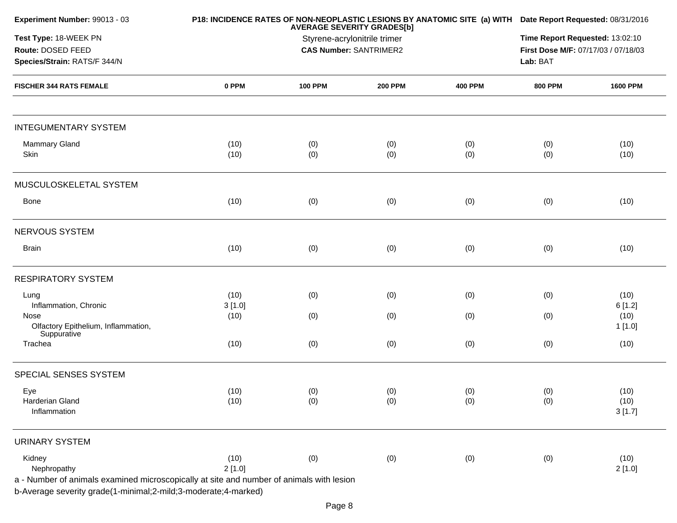| Experiment Number: 99013 - 03                                                                                     |                | <b>AVERAGE SEVERITY GRADES[b]</b> | P18: INCIDENCE RATES OF NON-NEOPLASTIC LESIONS BY ANATOMIC SITE (a) WITH Date Report Requested: 08/31/2016 |                                     |                                 |                        |  |  |  |
|-------------------------------------------------------------------------------------------------------------------|----------------|-----------------------------------|------------------------------------------------------------------------------------------------------------|-------------------------------------|---------------------------------|------------------------|--|--|--|
| Test Type: 18-WEEK PN                                                                                             |                | Styrene-acrylonitrile trimer      |                                                                                                            |                                     | Time Report Requested: 13:02:10 |                        |  |  |  |
| Route: DOSED FEED                                                                                                 |                | <b>CAS Number: SANTRIMER2</b>     |                                                                                                            | First Dose M/F: 07/17/03 / 07/18/03 |                                 |                        |  |  |  |
| Species/Strain: RATS/F 344/N                                                                                      |                |                                   |                                                                                                            |                                     |                                 |                        |  |  |  |
| <b>FISCHER 344 RATS FEMALE</b>                                                                                    | 0 PPM          | <b>100 PPM</b>                    | <b>200 PPM</b>                                                                                             | <b>400 PPM</b>                      | <b>800 PPM</b>                  | <b>1600 PPM</b>        |  |  |  |
| <b>INTEGUMENTARY SYSTEM</b>                                                                                       |                |                                   |                                                                                                            |                                     |                                 |                        |  |  |  |
| <b>Mammary Gland</b><br>Skin                                                                                      | (10)<br>(10)   | (0)<br>(0)                        | (0)<br>(0)                                                                                                 | (0)<br>(0)                          | (0)<br>(0)                      | (10)<br>(10)           |  |  |  |
| MUSCULOSKELETAL SYSTEM                                                                                            |                |                                   |                                                                                                            |                                     |                                 |                        |  |  |  |
| Bone                                                                                                              | (10)           | (0)                               | (0)                                                                                                        | (0)                                 | (0)                             | (10)                   |  |  |  |
| NERVOUS SYSTEM                                                                                                    |                |                                   |                                                                                                            |                                     |                                 |                        |  |  |  |
| <b>Brain</b>                                                                                                      | (10)           | (0)                               | (0)                                                                                                        | (0)                                 | (0)                             | (10)                   |  |  |  |
| <b>RESPIRATORY SYSTEM</b>                                                                                         |                |                                   |                                                                                                            |                                     |                                 |                        |  |  |  |
| Lung<br>Inflammation, Chronic                                                                                     | (10)<br>3[1.0] | (0)                               | (0)                                                                                                        | (0)                                 | (0)                             | (10)<br>6[1.2]         |  |  |  |
| Nose<br>Olfactory Epithelium, Inflammation,<br>Suppurative                                                        | (10)           | (0)                               | (0)                                                                                                        | (0)                                 | (0)                             | (10)<br>1 [1.0]        |  |  |  |
| Trachea                                                                                                           | (10)           | (0)                               | (0)                                                                                                        | (0)                                 | (0)                             | (10)                   |  |  |  |
| SPECIAL SENSES SYSTEM                                                                                             |                |                                   |                                                                                                            |                                     |                                 |                        |  |  |  |
| Eye<br>Harderian Gland<br>Inflammation                                                                            | (10)<br>(10)   | (0)<br>(0)                        | (0)<br>(0)                                                                                                 | (0)<br>(0)                          | (0)<br>(0)                      | (10)<br>(10)<br>3[1.7] |  |  |  |
| <b>URINARY SYSTEM</b>                                                                                             |                |                                   |                                                                                                            |                                     |                                 |                        |  |  |  |
| Kidney<br>Nephropathy<br>a - Number of animals examined microscopically at site and number of animals with lesion | (10)<br>2[1.0] | (0)                               | (0)                                                                                                        | (0)                                 | (0)                             | (10)<br>2[1.0]         |  |  |  |